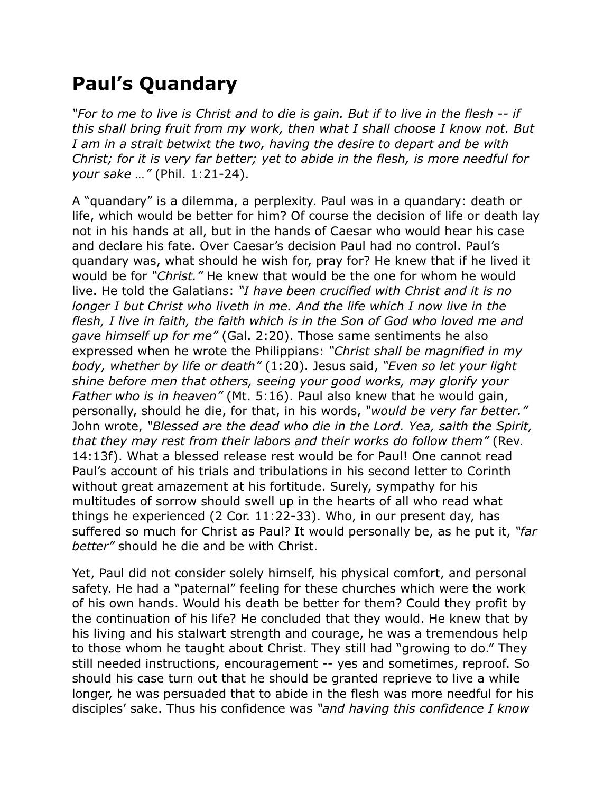## **Paul's Quandary**

*"For to me to live is Christ and to die is gain. But if to live in the flesh -- if this shall bring fruit from my work, then what I shall choose I know not. But I am in a strait betwixt the two, having the desire to depart and be with Christ; for it is very far better; yet to abide in the flesh, is more needful for your sake …"* (Phil. 1:21-24).

A "quandary" is a dilemma, a perplexity. Paul was in a quandary: death or life, which would be better for him? Of course the decision of life or death lay not in his hands at all, but in the hands of Caesar who would hear his case and declare his fate. Over Caesar's decision Paul had no control. Paul's quandary was, what should he wish for, pray for? He knew that if he lived it would be for *"Christ."* He knew that would be the one for whom he would live. He told the Galatians: *"I have been crucified with Christ and it is no longer I but Christ who liveth in me. And the life which I now live in the flesh, I live in faith, the faith which is in the Son of God who loved me and gave himself up for me"* (Gal. 2:20). Those same sentiments he also expressed when he wrote the Philippians: *"Christ shall be magnified in my body, whether by life or death"* (1:20). Jesus said, *"Even so let your light shine before men that others, seeing your good works, may glorify your Father who is in heaven"* (Mt. 5:16). Paul also knew that he would gain, personally, should he die, for that, in his words, *"would be very far better."* John wrote, *"Blessed are the dead who die in the Lord. Yea, saith the Spirit, that they may rest from their labors and their works do follow them"* (Rev. 14:13f). What a blessed release rest would be for Paul! One cannot read Paul's account of his trials and tribulations in his second letter to Corinth without great amazement at his fortitude. Surely, sympathy for his multitudes of sorrow should swell up in the hearts of all who read what things he experienced (2 Cor. 11:22-33). Who, in our present day, has suffered so much for Christ as Paul? It would personally be, as he put it, *"far better"* should he die and be with Christ.

Yet, Paul did not consider solely himself, his physical comfort, and personal safety. He had a "paternal" feeling for these churches which were the work of his own hands. Would his death be better for them? Could they profit by the continuation of his life? He concluded that they would. He knew that by his living and his stalwart strength and courage, he was a tremendous help to those whom he taught about Christ. They still had "growing to do." They still needed instructions, encouragement -- yes and sometimes, reproof. So should his case turn out that he should be granted reprieve to live a while longer, he was persuaded that to abide in the flesh was more needful for his disciples' sake. Thus his confidence was *"and having this confidence I know*